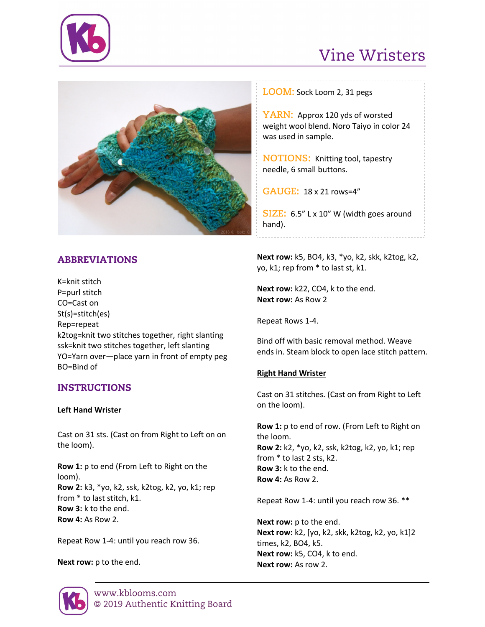

# Vine Wristers



# ABBREVIATIONS

K=knit stitch P=purl stitch CO=Cast on St(s)=stitch(es) Rep=repeat k2tog=knit two stitches together, right slanting ssk=knit two stitches together, left slanting YO=Yarn over—place yarn in front of empty peg BO=Bind of

# INSTRUCTIONS

#### **Left Hand Wrister**

Cast on 31 sts. (Cast on from Right to Left on on the loom).

**Row 1:** p to end (From Left to Right on the loom). **Row 2:** k3, \*yo, k2, ssk, k2tog, k2, yo, k1; rep from \* to last stitch, k1. **Row 3:** k to the end. **Row 4:** As Row 2.

Repeat Row 1-4: until you reach row 36.

**Next row:** p to the end.

**LOOM:** Sock Loom 2, 31 pegs

**YARN:** Approx 120 yds of worsted weight wool blend. Noro Taiyo in color 24 was used in sample.

**NOTIONS:** Knitting tool, tapestry needle, 6 small buttons.

**GAUGE:** 18 x 21 rows=4"

**SIZE:** 6.5" L x 10" W (width goes around hand).

**Next row:** k5, BO4, k3, \*yo, k2, skk, k2tog, k2, yo, k1; rep from \* to last st, k1.

**Next row:** k22, CO4, k to the end. **Next row:** As Row 2

Repeat Rows 1-4.

Bind off with basic removal method. Weave ends in. Steam block to open lace stitch pattern.

## **Right Hand Wrister**

Cast on 31 stitches. (Cast on from Right to Left on the loom).

**Row 1:** p to end of row. (From Left to Right on the loom. **Row 2:** k2, \*yo, k2, ssk, k2tog, k2, yo, k1; rep from \* to last 2 sts, k2. **Row 3:** k to the end. **Row 4:** As Row 2.

Repeat Row 1-4: until you reach row 36. \*\*

**Next row:** p to the end. **Next row:** k2, [yo, k2, skk, k2tog, k2, yo, k1]2 times, k2, BO4, k5. **Next row:** k5, CO4, k to end. **Next row:** As row 2.